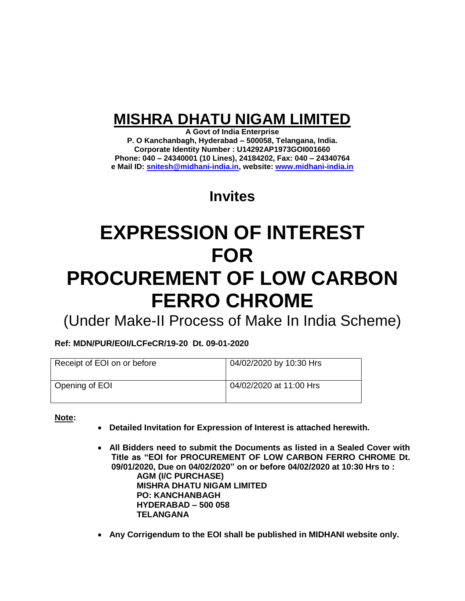# **MISHRA DHATU NIGAM LIMITED**

**A Govt of India Enterprise P. O Kanchanbagh, Hyderabad – 500058, Telangana, India. Corporate Identity Number : U14292AP1973GOI001660 Phone: 040 – 24340001 (10 Lines), 24184202, Fax: 040 – 24340764 e Mail ID: [snitesh@midhani-india.in,](mailto:snitesh@midhani-india.in) website: [www.midhani-india.in](http://www.midhani-india.in/)**

# **Invites**

# **EXPRESSION OF INTEREST FOR PROCUREMENT OF LOW CARBON FERRO CHROME**

(Under Make-II Process of Make In India Scheme)

**Ref: MDN/PUR/EOI/LCFeCR/19-20 Dt. 09-01-2020**

| Receipt of EOI on or before | 04/02/2020 by 10:30 Hrs |
|-----------------------------|-------------------------|
| Opening of EOI              | 04/02/2020 at 11:00 Hrs |

**Note:** 

- **Detailed Invitation for Expression of Interest is attached herewith.**
- **All Bidders need to submit the Documents as listed in a Sealed Cover with Title as "EOI for PROCUREMENT OF LOW CARBON FERRO CHROME Dt. 09/01/2020, Due on 04/02/2020" on or before 04/02/2020 at 10:30 Hrs to : AGM (I/C PURCHASE) MISHRA DHATU NIGAM LIMITED PO: KANCHANBAGH HYDERABAD – 500 058 TELANGANA**
- **Any Corrigendum to the EOI shall be published in MIDHANI website only.**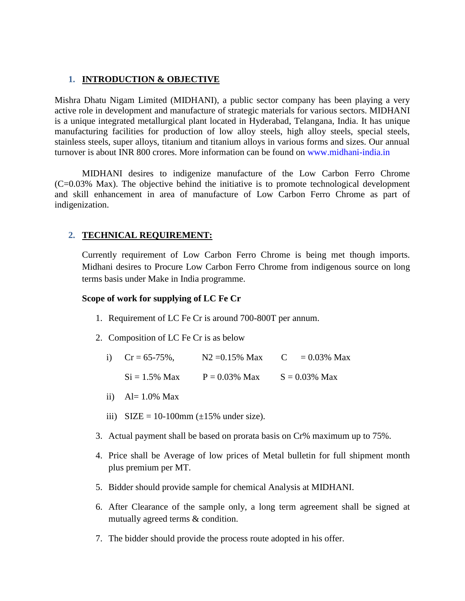# **1. INTRODUCTION & OBJECTIVE**

Mishra Dhatu Nigam Limited (MIDHANI), a public sector company has been playing a very active role in development and manufacture of strategic materials for various sectors. MIDHANI is a unique integrated metallurgical plant located in Hyderabad, Telangana, India. It has unique manufacturing facilities for production of low alloy steels, high alloy steels, special steels, stainless steels, super alloys, titanium and titanium alloys in various forms and sizes. Our annual turnover is about INR 800 crores. More information can be found on www.midhani-india.in

MIDHANI desires to indigenize manufacture of the Low Carbon Ferro Chrome (C=0.03% Max). The objective behind the initiative is to promote technological development and skill enhancement in area of manufacture of Low Carbon Ferro Chrome as part of indigenization.

# **2. TECHNICAL REQUIREMENT:**

Currently requirement of Low Carbon Ferro Chrome is being met though imports. Midhani desires to Procure Low Carbon Ferro Chrome from indigenous source on long terms basis under Make in India programme.

#### **Scope of work for supplying of LC Fe Cr**

- 1. Requirement of LC Fe Cr is around 700-800T per annum.
- 2. Composition of LC Fe Cr is as below
	- i)  $Cr = 65-75\%$ ,  $N2 = 0.15\%$  Max  $C = 0.03\%$  Max

 $Si = 1.5\%$  Max  $P = 0.03\%$  Max  $S = 0.03\%$  Max

- ii)  $Al= 1.0\%$  Max
- iii)  $SIZE = 10-100 \text{mm} (\pm 15\% \text{ under size}).$
- 3. Actual payment shall be based on prorata basis on Cr% maximum up to 75%.
- 4. Price shall be Average of low prices of Metal bulletin for full shipment month plus premium per MT.
- 5. Bidder should provide sample for chemical Analysis at MIDHANI.
- 6. After Clearance of the sample only, a long term agreement shall be signed at mutually agreed terms & condition.
- 7. The bidder should provide the process route adopted in his offer.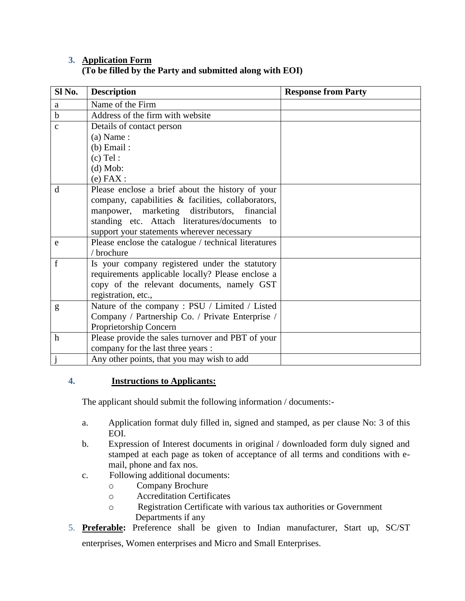# **3. Application Form (To be filled by the Party and submitted along with EOI)**

| Sl No.       | <b>Description</b>                                   | <b>Response from Party</b> |
|--------------|------------------------------------------------------|----------------------------|
| a            | Name of the Firm                                     |                            |
| $\mathbf b$  | Address of the firm with website                     |                            |
| $\mathbf{C}$ | Details of contact person                            |                            |
|              | $(a)$ Name:                                          |                            |
|              | $(b)$ Email:                                         |                            |
|              | $(c)$ Tel:                                           |                            |
|              | $(d)$ Mob:                                           |                            |
|              | $(e)$ FAX :                                          |                            |
| d            | Please enclose a brief about the history of your     |                            |
|              | company, capabilities & facilities, collaborators,   |                            |
|              | manpower, marketing distributors, financial          |                            |
|              | standing etc. Attach literatures/documents to        |                            |
|              | support your statements wherever necessary           |                            |
| e            | Please enclose the catalogue / technical literatures |                            |
|              | / brochure                                           |                            |
| $\mathbf f$  | Is your company registered under the statutory       |                            |
|              | requirements applicable locally? Please enclose a    |                            |
|              | copy of the relevant documents, namely GST           |                            |
|              | registration, etc.,                                  |                            |
| g            | Nature of the company: PSU / Limited / Listed        |                            |
|              | Company / Partnership Co. / Private Enterprise /     |                            |
|              | Proprietorship Concern                               |                            |
| $\mathbf h$  | Please provide the sales turnover and PBT of your    |                            |
|              | company for the last three years :                   |                            |
|              | Any other points, that you may wish to add           |                            |

# **4. Instructions to Applicants:**

The applicant should submit the following information / documents:-

- a. Application format duly filled in, signed and stamped, as per clause No: 3 of this EOI.
- b. Expression of Interest documents in original / downloaded form duly signed and stamped at each page as token of acceptance of all terms and conditions with email, phone and fax nos.
- c. Following additional documents:
	- o Company Brochure
	- o Accreditation Certificates
	- o Registration Certificate with various tax authorities or Government Departments if any
- 5. **Preferable:** Preference shall be given to Indian manufacturer, Start up, SC/ST enterprises, Women enterprises and Micro and Small Enterprises.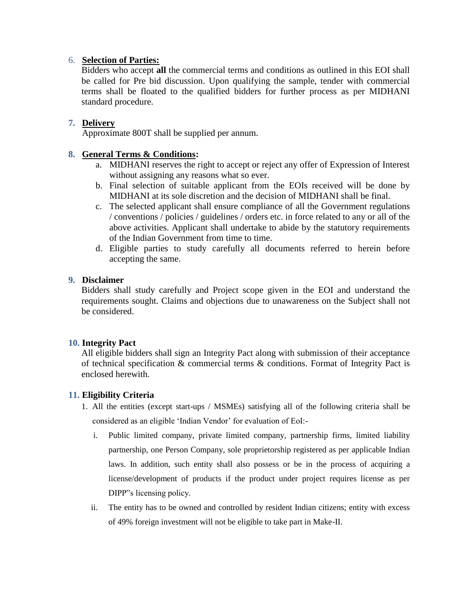# 6. **Selection of Parties:**

Bidders who accept **all** the commercial terms and conditions as outlined in this EOI shall be called for Pre bid discussion. Upon qualifying the sample, tender with commercial terms shall be floated to the qualified bidders for further process as per MIDHANI standard procedure.

# **7. Delivery**

Approximate 800T shall be supplied per annum.

# **8. General Terms & Conditions:**

- a. MIDHANI reserves the right to accept or reject any offer of Expression of Interest without assigning any reasons what so ever.
- b. Final selection of suitable applicant from the EOIs received will be done by MIDHANI at its sole discretion and the decision of MIDHANI shall be final.
- c. The selected applicant shall ensure compliance of all the Government regulations / conventions / policies / guidelines / orders etc. in force related to any or all of the above activities. Applicant shall undertake to abide by the statutory requirements of the Indian Government from time to time.
- d. Eligible parties to study carefully all documents referred to herein before accepting the same.

# **9. Disclaimer**

Bidders shall study carefully and Project scope given in the EOI and understand the requirements sought. Claims and objections due to unawareness on the Subject shall not be considered.

## **10. Integrity Pact**

All eligible bidders shall sign an Integrity Pact along with submission of their acceptance of technical specification & commercial terms & conditions. Format of Integrity Pact is enclosed herewith.

# **11. Eligibility Criteria**

- 1. All the entities (except start-ups / MSMEs) satisfying all of the following criteria shall be considered as an eligible 'Indian Vendor' for evaluation of EoI:
	- i. Public limited company, private limited company, partnership firms, limited liability partnership, one Person Company, sole proprietorship registered as per applicable Indian laws. In addition, such entity shall also possess or be in the process of acquiring a license/development of products if the product under project requires license as per DIPP"s licensing policy.
	- ii. The entity has to be owned and controlled by resident Indian citizens; entity with excess of 49% foreign investment will not be eligible to take part in Make-II.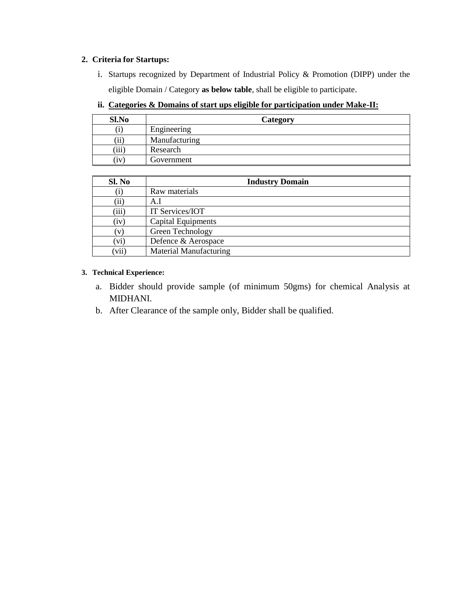#### **2. Criteria for Startups:**

- i. Startups recognized by Department of Industrial Policy & Promotion (DIPP) under the eligible Domain / Category **as below table**, shall be eligible to participate.
- **ii. Categories & Domains of start ups eligible for participation under Make-II:**

| Sl.No                | Category      |  |
|----------------------|---------------|--|
| U                    | Engineering   |  |
| , <b>. .</b> .<br>11 | Manufacturing |  |
| (iii)                | Research      |  |
| (iv)                 | Government    |  |

| Sl. No   | <b>Industry Domain</b> |
|----------|------------------------|
| $\rm(i)$ | Raw materials          |
| (ii)     | A.I                    |
| (iii)    | IT Services/IOT        |
| (iv)     | Capital Equipments     |
| (v)      | Green Technology       |
| (vi)     | Defence & Aerospace    |
| (vii)    | Material Manufacturing |

#### **3. Technical Experience:**

- a. Bidder should provide sample (of minimum 50gms) for chemical Analysis at MIDHANI.
- b. After Clearance of the sample only, Bidder shall be qualified.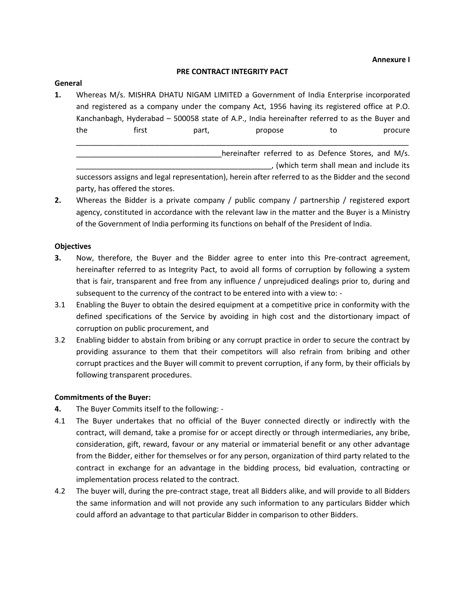#### **Annexure I**

#### **PRE CONTRACT INTEGRITY PACT**

#### **General**

**1.** Whereas M/s. MISHRA DHATU NIGAM LIMITED a Government of India Enterprise incorporated and registered as a company under the company Act, 1956 having its registered office at P.O. Kanchanbagh, Hyderabad – 500058 state of A.P., India hereinafter referred to as the Buyer and the first part, propose to procure \_\_\_\_\_\_\_\_\_\_\_\_\_\_\_\_\_\_\_\_\_\_\_\_\_\_\_\_\_\_\_\_\_\_\_\_\_\_\_\_\_\_\_\_\_\_\_\_\_\_\_\_\_\_\_\_\_\_\_\_\_\_\_\_\_\_\_\_\_\_\_\_\_\_\_\_\_\_\_\_

> hereinafter referred to as Defence Stores, and M/s. \_\_\_\_\_\_\_\_\_\_\_\_\_\_\_\_\_\_\_\_\_\_\_\_\_\_\_\_\_\_\_\_\_\_\_\_\_\_\_\_\_\_\_\_\_\_\_, (which term shall mean and include its

successors assigns and legal representation), herein after referred to as the Bidder and the second party, has offered the stores.

**2.** Whereas the Bidder is a private company / public company / partnership / registered export agency, constituted in accordance with the relevant law in the matter and the Buyer is a Ministry of the Government of India performing its functions on behalf of the President of India.

#### **Objectives**

- **3.** Now, therefore, the Buyer and the Bidder agree to enter into this Pre-contract agreement, hereinafter referred to as Integrity Pact, to avoid all forms of corruption by following a system that is fair, transparent and free from any influence / unprejudiced dealings prior to, during and subsequent to the currency of the contract to be entered into with a view to: -
- 3.1 Enabling the Buyer to obtain the desired equipment at a competitive price in conformity with the defined specifications of the Service by avoiding in high cost and the distortionary impact of corruption on public procurement, and
- 3.2 Enabling bidder to abstain from bribing or any corrupt practice in order to secure the contract by providing assurance to them that their competitors will also refrain from bribing and other corrupt practices and the Buyer will commit to prevent corruption, if any form, by their officials by following transparent procedures.

#### **Commitments of the Buyer:**

- **4.** The Buyer Commits itself to the following: -
- 4.1 The Buyer undertakes that no official of the Buyer connected directly or indirectly with the contract, will demand, take a promise for or accept directly or through intermediaries, any bribe, consideration, gift, reward, favour or any material or immaterial benefit or any other advantage from the Bidder, either for themselves or for any person, organization of third party related to the contract in exchange for an advantage in the bidding process, bid evaluation, contracting or implementation process related to the contract.
- 4.2 The buyer will, during the pre-contract stage, treat all Bidders alike, and will provide to all Bidders the same information and will not provide any such information to any particulars Bidder which could afford an advantage to that particular Bidder in comparison to other Bidders.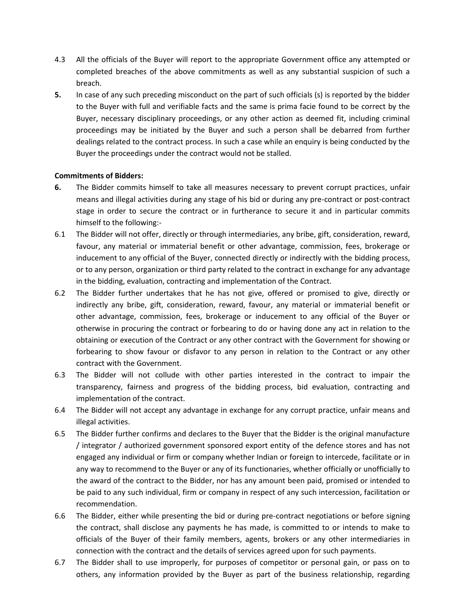- 4.3 All the officials of the Buyer will report to the appropriate Government office any attempted or completed breaches of the above commitments as well as any substantial suspicion of such a breach.
- **5.** In case of any such preceding misconduct on the part of such officials (s) is reported by the bidder to the Buyer with full and verifiable facts and the same is prima facie found to be correct by the Buyer, necessary disciplinary proceedings, or any other action as deemed fit, including criminal proceedings may be initiated by the Buyer and such a person shall be debarred from further dealings related to the contract process. In such a case while an enquiry is being conducted by the Buyer the proceedings under the contract would not be stalled.

#### **Commitments of Bidders:**

- **6.** The Bidder commits himself to take all measures necessary to prevent corrupt practices, unfair means and illegal activities during any stage of his bid or during any pre-contract or post-contract stage in order to secure the contract or in furtherance to secure it and in particular commits himself to the following:-
- 6.1 The Bidder will not offer, directly or through intermediaries, any bribe, gift, consideration, reward, favour, any material or immaterial benefit or other advantage, commission, fees, brokerage or inducement to any official of the Buyer, connected directly or indirectly with the bidding process, or to any person, organization or third party related to the contract in exchange for any advantage in the bidding, evaluation, contracting and implementation of the Contract.
- 6.2 The Bidder further undertakes that he has not give, offered or promised to give, directly or indirectly any bribe, gift, consideration, reward, favour, any material or immaterial benefit or other advantage, commission, fees, brokerage or inducement to any official of the Buyer or otherwise in procuring the contract or forbearing to do or having done any act in relation to the obtaining or execution of the Contract or any other contract with the Government for showing or forbearing to show favour or disfavor to any person in relation to the Contract or any other contract with the Government.
- 6.3 The Bidder will not collude with other parties interested in the contract to impair the transparency, fairness and progress of the bidding process, bid evaluation, contracting and implementation of the contract.
- 6.4 The Bidder will not accept any advantage in exchange for any corrupt practice, unfair means and illegal activities.
- 6.5 The Bidder further confirms and declares to the Buyer that the Bidder is the original manufacture / integrator / authorized government sponsored export entity of the defence stores and has not engaged any individual or firm or company whether Indian or foreign to intercede, facilitate or in any way to recommend to the Buyer or any of its functionaries, whether officially or unofficially to the award of the contract to the Bidder, nor has any amount been paid, promised or intended to be paid to any such individual, firm or company in respect of any such intercession, facilitation or recommendation.
- 6.6 The Bidder, either while presenting the bid or during pre-contract negotiations or before signing the contract, shall disclose any payments he has made, is committed to or intends to make to officials of the Buyer of their family members, agents, brokers or any other intermediaries in connection with the contract and the details of services agreed upon for such payments.
- 6.7 The Bidder shall to use improperly, for purposes of competitor or personal gain, or pass on to others, any information provided by the Buyer as part of the business relationship, regarding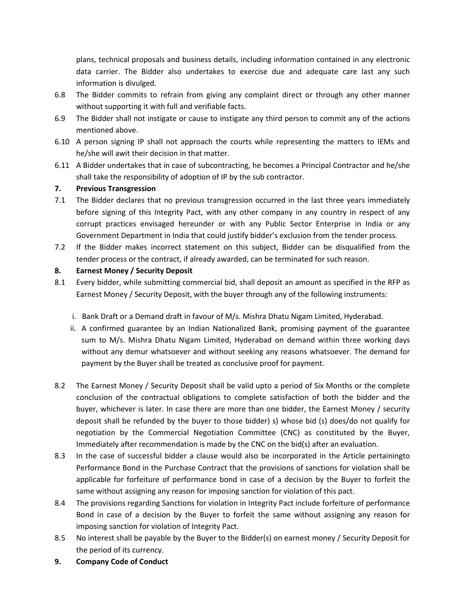plans, technical proposals and business details, including information contained in any electronic data carrier. The Bidder also undertakes to exercise due and adequate care last any such information is divulged.

- 6.8 The Bidder commits to refrain from giving any complaint direct or through any other manner without supporting it with full and verifiable facts.
- 6.9 The Bidder shall not instigate or cause to instigate any third person to commit any of the actions mentioned above.
- 6.10 A person signing IP shall not approach the courts while representing the matters to IEMs and he/she will awit their decision in that matter.
- 6.11 A Bidder undertakes that in case of subcontracting, he becomes a Principal Contractor and he/she shall take the responsibility of adoption of IP by the sub contractor.

## **7. Previous Transgression**

- 7.1 The Bidder declares that no previous transgression occurred in the last three years immediately before signing of this Integrity Pact, with any other company in any country in respect of any corrupt practices envisaged hereunder or with any Public Sector Enterprise in India or any Government Department in India that could justify bidder's exclusion from the tender process.
- 7.2 If the Bidder makes incorrect statement on this subject, Bidder can be disqualified from the tender process or the contract, if already awarded, can be terminated for such reason.

#### **8. Earnest Money / Security Deposit**

- 8.1 Every bidder, while submitting commercial bid, shall deposit an amount as specified in the RFP as Earnest Money / Security Deposit, with the buyer through any of the following instruments:
	- i. Bank Draft or a Demand draft in favour of M/s. Mishra Dhatu Nigam Limited, Hyderabad.
	- ii. A confirmed guarantee by an Indian Nationalized Bank, promising payment of the guarantee sum to M/s. Mishra Dhatu Nigam Limited, Hyderabad on demand within three working days without any demur whatsoever and without seeking any reasons whatsoever. The demand for payment by the Buyer shall be treated as conclusive proof for payment.
- 8.2 The Earnest Money / Security Deposit shall be valid upto a period of Six Months or the complete conclusion of the contractual obligations to complete satisfaction of both the bidder and the buyer, whichever is later. In case there are more than one bidder, the Earnest Money / security deposit shall be refunded by the buyer to those bidder) s) whose bid (s) does/do not qualify for negotiation by the Commercial Negotiation Committee (CNC) as constituted by the Buyer, Immediately after recommendation is made by the CNC on the bid(s) after an evaluation.
- 8.3 In the case of successful bidder a clause would also be incorporated in the Article pertainingto Performance Bond in the Purchase Contract that the provisions of sanctions for violation shall be applicable for forfeiture of performance bond in case of a decision by the Buyer to forfeit the same without assigning any reason for imposing sanction for violation of this pact.
- 8.4 The provisions regarding Sanctions for violation in Integrity Pact include forfeiture of performance Bond in case of a decision by the Buyer to forfeit the same without assigning any reason for imposing sanction for violation of Integrity Pact.
- 8.5 No interest shall be payable by the Buyer to the Bidder(s) on earnest money / Security Deposit for the period of its currency.
- **9. Company Code of Conduct**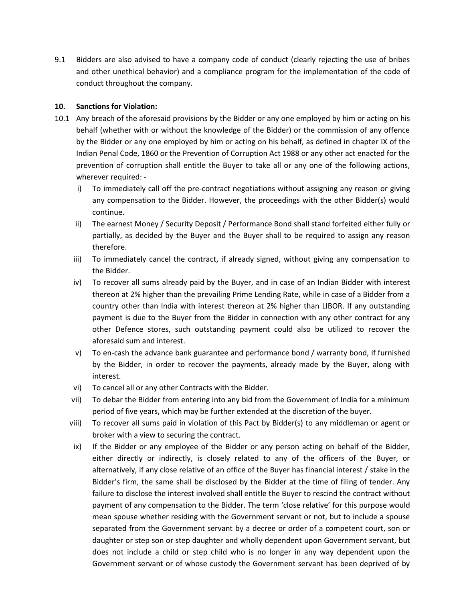9.1 Bidders are also advised to have a company code of conduct (clearly rejecting the use of bribes and other unethical behavior) and a compliance program for the implementation of the code of conduct throughout the company.

#### **10. Sanctions for Violation:**

- 10.1 Any breach of the aforesaid provisions by the Bidder or any one employed by him or acting on his behalf (whether with or without the knowledge of the Bidder) or the commission of any offence by the Bidder or any one employed by him or acting on his behalf, as defined in chapter IX of the Indian Penal Code, 1860 or the Prevention of Corruption Act 1988 or any other act enacted for the prevention of corruption shall entitle the Buyer to take all or any one of the following actions, wherever required:
	- i) To immediately call off the pre-contract negotiations without assigning any reason or giving any compensation to the Bidder. However, the proceedings with the other Bidder(s) would continue.
	- ii) The earnest Money / Security Deposit / Performance Bond shall stand forfeited either fully or partially, as decided by the Buyer and the Buyer shall to be required to assign any reason therefore.
	- iii) To immediately cancel the contract, if already signed, without giving any compensation to the Bidder.
	- iv) To recover all sums already paid by the Buyer, and in case of an Indian Bidder with interest thereon at 2% higher than the prevailing Prime Lending Rate, while in case of a Bidder from a country other than India with interest thereon at 2% higher than LIBOR. If any outstanding payment is due to the Buyer from the Bidder in connection with any other contract for any other Defence stores, such outstanding payment could also be utilized to recover the aforesaid sum and interest.
	- v) To en-cash the advance bank guarantee and performance bond / warranty bond, if furnished by the Bidder, in order to recover the payments, already made by the Buyer, along with interest.
	- vi) To cancel all or any other Contracts with the Bidder.
	- vii) To debar the Bidder from entering into any bid from the Government of India for a minimum period of five years, which may be further extended at the discretion of the buyer.
	- viii) To recover all sums paid in violation of this Pact by Bidder(s) to any middleman or agent or broker with a view to securing the contract.
	- ix) If the Bidder or any employee of the Bidder or any person acting on behalf of the Bidder, either directly or indirectly, is closely related to any of the officers of the Buyer, or alternatively, if any close relative of an office of the Buyer has financial interest / stake in the Bidder's firm, the same shall be disclosed by the Bidder at the time of filing of tender. Any failure to disclose the interest involved shall entitle the Buyer to rescind the contract without payment of any compensation to the Bidder. The term 'close relative' for this purpose would mean spouse whether residing with the Government servant or not, but to include a spouse separated from the Government servant by a decree or order of a competent court, son or daughter or step son or step daughter and wholly dependent upon Government servant, but does not include a child or step child who is no longer in any way dependent upon the Government servant or of whose custody the Government servant has been deprived of by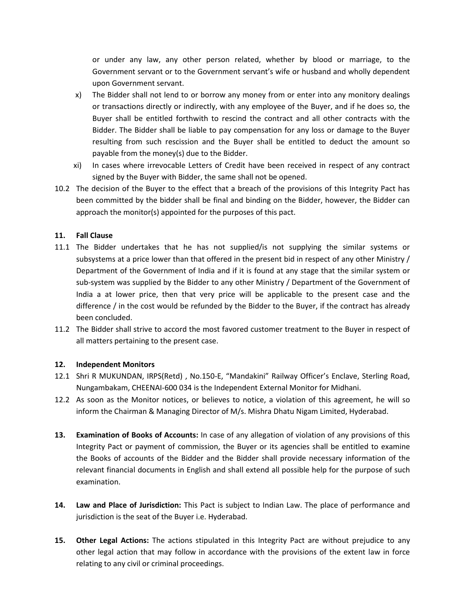or under any law, any other person related, whether by blood or marriage, to the Government servant or to the Government servant's wife or husband and wholly dependent upon Government servant.

- x) The Bidder shall not lend to or borrow any money from or enter into any monitory dealings or transactions directly or indirectly, with any employee of the Buyer, and if he does so, the Buyer shall be entitled forthwith to rescind the contract and all other contracts with the Bidder. The Bidder shall be liable to pay compensation for any loss or damage to the Buyer resulting from such rescission and the Buyer shall be entitled to deduct the amount so payable from the money(s) due to the Bidder.
- xi) In cases where irrevocable Letters of Credit have been received in respect of any contract signed by the Buyer with Bidder, the same shall not be opened.
- 10.2 The decision of the Buyer to the effect that a breach of the provisions of this Integrity Pact has been committed by the bidder shall be final and binding on the Bidder, however, the Bidder can approach the monitor(s) appointed for the purposes of this pact.

#### **11. Fall Clause**

- 11.1 The Bidder undertakes that he has not supplied/is not supplying the similar systems or subsystems at a price lower than that offered in the present bid in respect of any other Ministry / Department of the Government of India and if it is found at any stage that the similar system or sub-system was supplied by the Bidder to any other Ministry / Department of the Government of India a at lower price, then that very price will be applicable to the present case and the difference / in the cost would be refunded by the Bidder to the Buyer, if the contract has already been concluded.
- 11.2 The Bidder shall strive to accord the most favored customer treatment to the Buyer in respect of all matters pertaining to the present case.

#### **12. Independent Monitors**

- 12.1 Shri R MUKUNDAN, IRPS(Retd) , No.150-E, "Mandakini" Railway Officer's Enclave, Sterling Road, Nungambakam, CHEENAI-600 034 is the Independent External Monitor for Midhani.
- 12.2 As soon as the Monitor notices, or believes to notice, a violation of this agreement, he will so inform the Chairman & Managing Director of M/s. Mishra Dhatu Nigam Limited, Hyderabad.
- **13. Examination of Books of Accounts:** In case of any allegation of violation of any provisions of this Integrity Pact or payment of commission, the Buyer or its agencies shall be entitled to examine the Books of accounts of the Bidder and the Bidder shall provide necessary information of the relevant financial documents in English and shall extend all possible help for the purpose of such examination.
- **14. Law and Place of Jurisdiction:** This Pact is subject to Indian Law. The place of performance and jurisdiction is the seat of the Buyer i.e. Hyderabad.
- **15. Other Legal Actions:** The actions stipulated in this Integrity Pact are without prejudice to any other legal action that may follow in accordance with the provisions of the extent law in force relating to any civil or criminal proceedings.